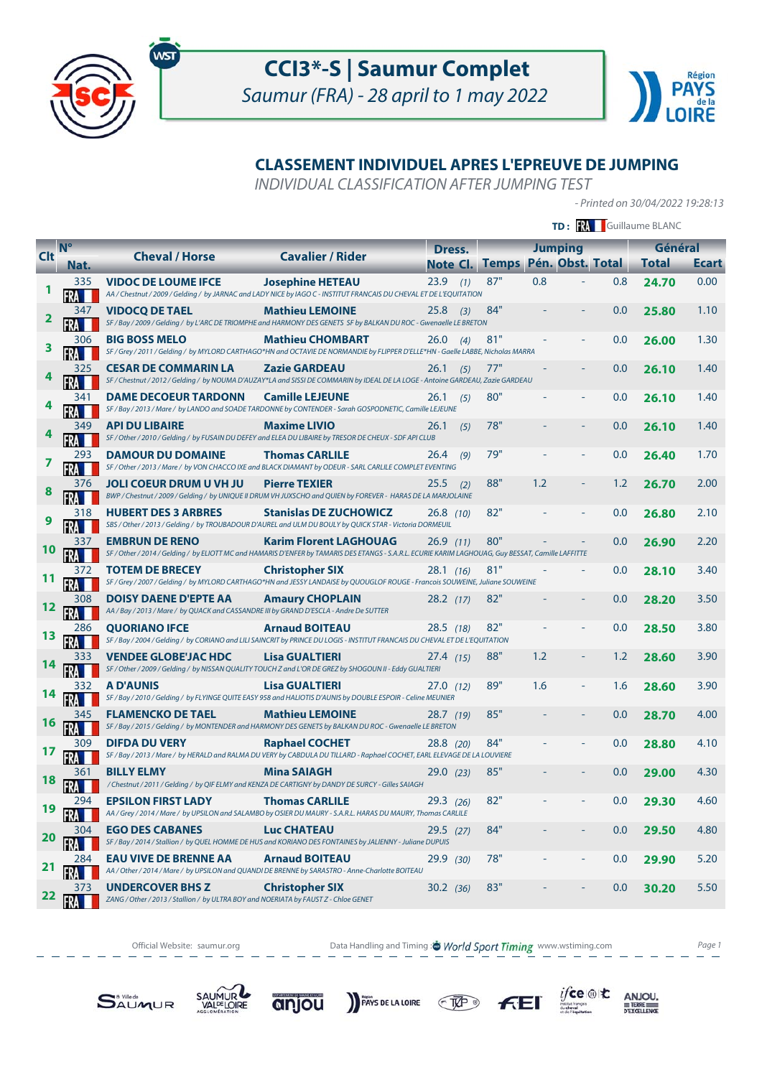



# **CLASSEMENT INDIVIDUEL APRES L'EPREUVE DE JUMPING**

INDIVIDUAL CLASSIFICATION AFTER JUMPING TEST

- Printed on 30/04/2022 19:28:13

|            |                | <b>TD: XX</b> Guillaume BLANC                                                                                   |                                                                                                                                                                                      |                          |     |     |                                    |     |                         |              |
|------------|----------------|-----------------------------------------------------------------------------------------------------------------|--------------------------------------------------------------------------------------------------------------------------------------------------------------------------------------|--------------------------|-----|-----|------------------------------------|-----|-------------------------|--------------|
| <b>Clt</b> | N <sup>o</sup> | <b>Cheval / Horse</b>                                                                                           | <b>Cavalier / Rider</b>                                                                                                                                                              | Dress.<br>Note Cl. Temps |     |     | <b>Jumping</b><br>Pén. Obst. Total |     | Général<br><b>Total</b> | <b>Ecart</b> |
|            | Nat.<br>335    | <b>VIDOC DE LOUME IFCE</b>                                                                                      | <b>Josephine HETEAU</b><br>AA / Chestnut / 2009 / Gelding / by JARNAC and LADY NICE by IAGO C - INSTITUT FRANCAIS DU CHEVAL ET DE L'EQUITATION                                       | $23.9$ (1)               | 87" | 0.8 |                                    | 0.8 | 24.70                   | 0.00         |
| 2          | 347            | <b>VIDOCO DE TAEL</b>                                                                                           | <b>Mathieu LEMOINE</b><br>SF / Bay / 2009 / Gelding / by L'ARC DE TRIOMPHE and HARMONY DES GENETS SF by BALKAN DU ROC - Gwenaelle LE BRETON                                          | 25.8<br>(3)              | 84" |     |                                    | 0.0 | 25.80                   | 1.10         |
| 3          | 306            | <b>BIG BOSS MELO</b>                                                                                            | <b>Mathieu CHOMBART</b><br>SF / Grey / 2011 / Gelding / by MYLORD CARTHAGO*HN and OCTAVIE DE NORMANDIE by FLIPPER D'ELLE*HN - Gaelle LABBE, Nicholas MARRA                           | $26.0$ (4)               | 81" |     |                                    | 0.0 | 26.00                   | 1.30         |
|            | 325            | <b>CESAR DE COMMARIN LA</b>                                                                                     | <b>Zazie GARDEAU</b><br>SF / Chestnut / 2012 / Gelding / by NOUMA D'AUZAY*LA and SISSI DE COMMARIN by IDEAL DE LA LOGE - Antoine GARDEAU, Zazie GARDEAU                              | 26.1<br>(5)              | 77" |     |                                    | 0.0 | 26.10                   | 1.40         |
|            | 341            | <b>DAME DECOEUR TARDONN</b>                                                                                     | <b>Camille LEJEUNE</b><br>SF / Bay / 2013 / Mare / by LANDO and SOADE TARDONNE by CONTENDER - Sarah GOSPODNETIC, Camille LEJEUNE                                                     | 26.1<br>(5)              | 80" |     |                                    | 0.0 | 26.10                   | 1.40         |
|            | 349            | <b>API DU LIBAIRE</b>                                                                                           | <b>Maxime LIVIO</b><br>SF / Other / 2010 / Gelding / by FUSAIN DU DEFEY and ELEA DU LIBAIRE by TRESOR DE CHEUX - SDF API CLUB                                                        | 26.1<br>(5)              | 78" |     |                                    | 0.0 | 26.10                   | 1.40         |
| 7          | 293            | <b>DAMOUR DU DOMAINE</b>                                                                                        | <b>Thomas CARLILE</b><br>SF / Other / 2013 / Mare / by VON CHACCO IXE and BLACK DIAMANT by ODEUR - SARL CARLILE COMPLET EVENTING                                                     | 26.4<br>(9)              | 79" |     |                                    | 0.0 | 26.40                   | 1.70         |
| 8          | 376            | <b>JOLI COEUR DRUM U VH JU</b>                                                                                  | <b>Pierre TEXIER</b><br>BWP / Chestnut / 2009 / Gelding / by UNIQUE II DRUM VH JUXSCHO and QUIEN by FOREVER - HARAS DE LA MARJOLAINE                                                 | 25.5<br>(2)              | 88" | 1.2 |                                    | 1.2 | 26.70                   | 2.00         |
| 9          | 318            | <b>HUBERT DES 3 ARBRES</b>                                                                                      | <b>Stanislas DE ZUCHOWICZ</b><br>SBS / Other / 2013 / Gelding / by TROUBADOUR D'AUREL and ULM DU BOULY by QUICK STAR - Victoria DORMEUIL                                             | $26.8$ (10)              | 82" |     |                                    | 0.0 | 26.80                   | 2.10         |
| 10         | 337            | <b>EMBRUN DE RENO</b>                                                                                           | <b>Karim Florent LAGHOUAG</b><br>SF / Other / 2014 / Gelding / by ELIOTT MC and HAMARIS D'ENFER by TAMARIS DES ETANGS - S.A.R.L. ECURIE KARIM LAGHOUAG, Guy BESSAT, Camille LAFFITTE | 26.9(11)                 | 80" |     |                                    | 0.0 | 26.90                   | 2.20         |
|            | 372            | <b>TOTEM DE BRECEY</b>                                                                                          | <b>Christopher SIX</b><br>SF / Grey / 2007 / Gelding / by MYLORD CARTHAGO*HN and JESSY LANDAISE by QUOUGLOF ROUGE - Francois SOUWEINE, Juliane SOUWEINE                              | 28.1(16)                 | 81" |     |                                    | 0.0 | 28.10                   | 3.40         |
| 12         | 308            | DOISY DAENE D'EPTE AA<br>AA / Bay / 2013 / Mare / by QUACK and CASSANDRE III by GRAND D'ESCLA - Andre De SUTTER | <b>Amaury CHOPLAIN</b>                                                                                                                                                               | $28.2$ (17)              | 82" |     |                                    | 0.0 | 28.20                   | 3.50         |
| 13         | 286            | <b>QUORIANO IFCE</b>                                                                                            | <b>Arnaud BOITEAU</b><br>SF / Bay / 2004 / Gelding / by CORIANO and LILI SAINCRIT by PRINCE DU LOGIS - INSTITUT FRANCAIS DU CHEVAL ET DE L'EQUITATION                                | $28.5$ (18)              | 82" |     |                                    | 0.0 | 28.50                   | 3.80         |
| 14         |                | <b>VENDEE GLOBE'JAC HDC</b>                                                                                     | <b>Lisa GUALTIERI</b><br>SF / Other / 2009 / Gelding / by NISSAN QUALITY TOUCH Z and L'OR DE GREZ by SHOGOUN II - Eddy GUALTIERI                                                     | 27.4(15)                 | 88" | 1.2 |                                    | 1.2 | 28.60                   | 3.90         |
| 14         | 332            | <b>A D'AUNIS</b>                                                                                                | <b>Lisa GUALTIERI</b><br>SF / Bay / 2010 / Gelding / by FLYINGE QUITE EASY 958 and HALIOTIS D'AUNIS by DOUBLE ESPOIR - Celine MEUNIER                                                | 27.0(12)                 | 89" | 1.6 |                                    | 1.6 | 28.60                   | 3.90         |
| 16         | 345            | <b>FLAMENCKO DE TAEL</b>                                                                                        | <b>Mathieu LEMOINE</b><br>SF / Bay / 2015 / Gelding / by MONTENDER and HARMONY DES GENETS by BALKAN DU ROC - Gwenaelle LE BRETON                                                     | 28.7(19)                 | 85" |     |                                    | 0.0 | 28.70                   | 4.00         |
| 17         | 309            | <b>DIFDA DU VERY</b>                                                                                            | <b>Raphael COCHET</b><br>SF / Bay / 2013 / Mare / by HERALD and RALMA DU VERY by CABDULA DU TILLARD - Raphael COCHET, EARL ELEVAGE DE LA LOUVIERE                                    | 28.8 (20)                | 84" |     |                                    | 0.0 | 28.80                   | 4.10         |
| 18         |                | <b>BILLY ELMY</b>                                                                                               | <b>Mina SAIAGH</b><br>/ Chestnut / 2011 / Gelding / by QIF ELMY and KENZA DE CARTIGNY by DANDY DE SURCY - Gilles SAIAGH                                                              | 29.0(23)                 | 85" |     |                                    | 0.0 | 29.00                   | 4.30         |
| 19         | 294            | <b>EPSILON FIRST LADY</b>                                                                                       | <b>Thomas CARLILE</b><br>AA / Grey / 2014 / Mare / by UPSILON and SALAMBO by OSIER DU MAURY - S.A.R.L. HARAS DU MAURY, Thomas CARLILE                                                | 29.3 (26)                | 82" |     |                                    | 0.0 | 29.30                   | 4.60         |
| 20         | 304            | <b>EGO DES CABANES</b>                                                                                          | <b>Luc CHATEAU</b><br>SF / Bay / 2014 / Stallion / by QUEL HOMME DE HUS and KORIANO DES FONTAINES by JALIENNY - Juliane DUPUIS                                                       | $29.5$ (27)              | 84" |     |                                    | 0.0 | 29.50                   | 4.80         |
| 21         | 284<br>FR      | <b>EAU VIVE DE BRENNE AA</b>                                                                                    | <b>Arnaud BOITEAU</b><br>AA / Other / 2014 / Mare / by UPSILON and QUANDI DE BRENNE by SARASTRO - Anne-Charlotte BOITEAU                                                             | 29.9 (30)                | 78" |     |                                    | 0.0 | 29.90                   | 5.20         |
| 22         | 373            | <b>UNDERCOVER BHS Z</b><br>ZANG / Other / 2013 / Stallion / by ULTRA BOY and NOERIATA by FAUST Z - Chloe GENET  | <b>Christopher SIX</b>                                                                                                                                                               | 30.2 (36)                | 83" |     |                                    | 0.0 | 30.20                   | 5.50         |

Official Website: saumur.org **Data Handling and Timing : World Sport Timing** www.wstiming.com Page 1 - - - - -

PAYS DE LA LOIRE TAP

SAUMUR

anjou

**SAUMUR** 

 $F<sub>E</sub>$ 

 $\underset{\underbrace{\text{G.}\underbrace{\text{G.}\underbrace{\text{G.}\underbrace{\text{G.}\underbrace{\text{G.}\underbrace{\text{G.}\underbrace{\text{G.}\underbrace{\text{G.}\underbrace{\text{G.}\underbrace{\text{G.}\underbrace{\text{G.}\underbrace{\text{G.}\underbrace{\text{G.}\underbrace{\text{G.}\underbrace{\text{G.}\underbrace{\text{G.}\underbrace{\text{G.}\underbrace{\text{G.}\underbrace{\text{G.}\underbrace{\text{G.}\underbrace{\text{G.}\underbrace{\text{G.}\underbrace{\text{G.}\underbrace{\text{G.}\underbrace{\text{G.}\underbrace{\text{G.}\underbrace{\text{G.}\$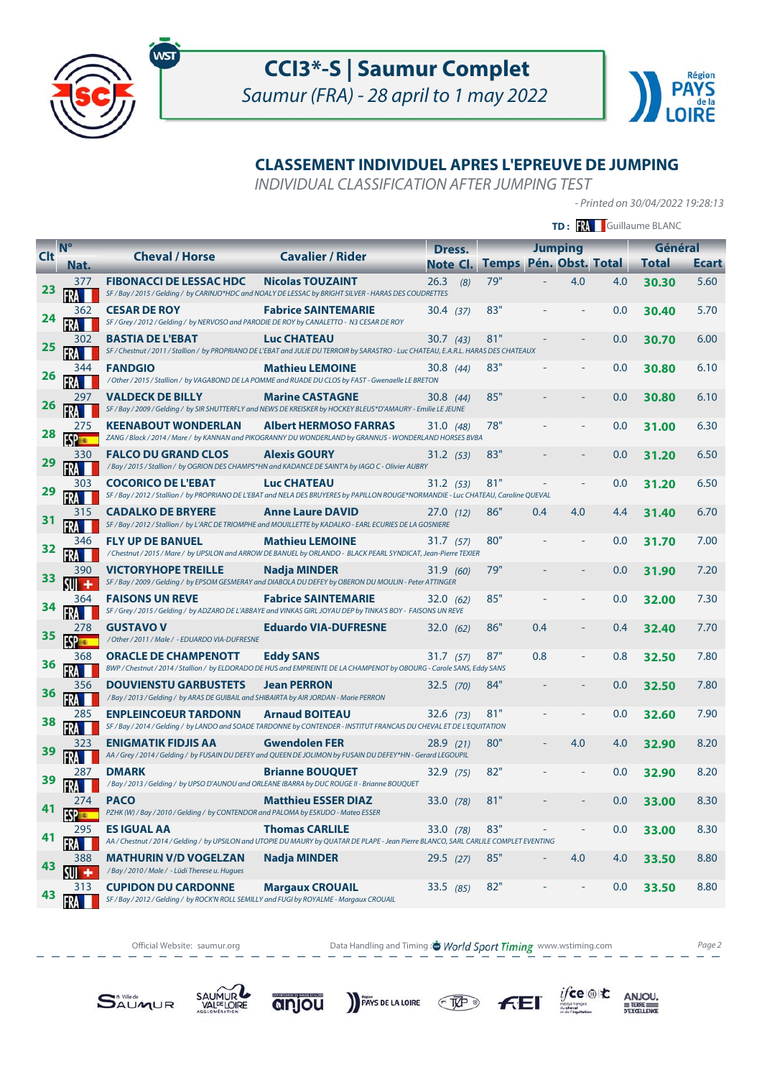



# **CLASSEMENT INDIVIDUEL APRES L'EPREUVE DE JUMPING**

INDIVIDUAL CLASSIFICATION AFTER JUMPING TEST

- Printed on 30/04/2022 19:28:13

 $\underset{\underbrace{\text{G.}\underbrace{\text{G.}\underbrace{\text{G.}\underbrace{\text{G.}\underbrace{\text{G.}\underbrace{\text{G.}\underbrace{\text{G.}\underbrace{\text{G.}\underbrace{\text{G.}\underbrace{\text{G.}\underbrace{\text{G.}\underbrace{\text{G.}\underbrace{\text{G.}\underbrace{\text{G.}\underbrace{\text{G.}\underbrace{\text{G.}\underbrace{\text{G.}\underbrace{\text{G.}\underbrace{\text{G.}\underbrace{\text{G.}\underbrace{\text{G.}\underbrace{\text{G.}\underbrace{\text{G.}\underbrace{\text{G.}\underbrace{\text{G.}\underbrace{\text{G.}\underbrace{\text{G.}\$ 

 $F<sub>E</sub>$ 

|            |             |                                                                                                                        |                                                                                                                                                                 |                   |                               |     |                |     | TD: FRA Guillaume BLANC |              |
|------------|-------------|------------------------------------------------------------------------------------------------------------------------|-----------------------------------------------------------------------------------------------------------------------------------------------------------------|-------------------|-------------------------------|-----|----------------|-----|-------------------------|--------------|
| <b>Clt</b> | $N^{\circ}$ | <b>Cheval / Horse</b>                                                                                                  | <b>Cavalier / Rider</b>                                                                                                                                         | Dress.            |                               |     | <b>Jumping</b> |     | Général                 |              |
|            | Nat.        |                                                                                                                        |                                                                                                                                                                 | Note Cl.          | <b>Temps Pén. Obst. Total</b> |     |                |     | <b>Total</b>            | <b>Ecart</b> |
| 23         | 377         | <b>FIBONACCI DE LESSAC HDC</b>                                                                                         | <b>Nicolas TOUZAINT</b><br>SF / Bay / 2015 / Gelding / by CARINJO*HDC and NOALY DE LESSAC by BRIGHT SILVER - HARAS DES COUDRETTES                               | 26.3<br>(8)       | 79"                           |     | 4.0            | 4.0 | 30.30                   | 5.60         |
| 24         | 362         | <b>CESAR DE ROY</b><br>SF / Grey / 2012 / Gelding / by NERVOSO and PARODIE DE ROY by CANALETTO - N3 CESAR DE ROY       | <b>Fabrice SAINTEMARIE</b>                                                                                                                                      | 30.4 (37)         | 83"                           |     |                | 0.0 | 30.40                   | 5.70         |
| <b>25</b>  | 302         | <b>BASTIA DE L'EBAT</b>                                                                                                | <b>Luc CHATEAU</b><br>SF / Chestnut / 2011 / Stallion / by PROPRIANO DE L'EBAT and JULIE DU TERROIR by SARASTRO - Luc CHATEAU, E.A.R.L. HARAS DES CHATEAUX      | 30.7 (43)         | 81"                           |     |                | 0.0 | 30.70                   | 6.00         |
| <b>26</b>  | 344         | <b>FANDGIO</b>                                                                                                         | <b>Mathieu LEMOINE</b><br>/ Other / 2015 / Stallion / by VAGABOND DE LA POMME and RUADE DU CLOS by FAST - Gwenaelle LE BRETON                                   | 30.8(44)          | 83"                           |     |                | 0.0 | 30.80                   | 6.10         |
| 26         |             | <b>VALDECK DE BILLY</b>                                                                                                | <b>Marine CASTAGNE</b><br>SF / Bay / 2009 / Gelding / by SIR SHUTTERFLY and NEWS DE KREISKER by HOCKEY BLEUS*D'AMAURY - Emilie LE JEUNE                         | 30.8(44)          | 85"                           |     |                | 0.0 | 30.80                   | 6.10         |
| 28         | 275         | <b>KEENABOUT WONDERLAN</b>                                                                                             | <b>Albert HERMOSO FARRAS</b><br>ZANG / Black / 2014 / Mare / by KANNAN and PIKOGRANNY DU WONDERLAND by GRANNUS - WONDERLAND HORSES BVBA                         | 31.0 (48)         | 78"                           |     |                | 0.0 | 31.00                   | 6.30         |
| 29         | 330         | <b>FALCO DU GRAND CLOS</b>                                                                                             | <b>Alexis GOURY</b><br>/ Bay / 2015 / Stallion / by OGRION DES CHAMPS*HN and KADANCE DE SAINT'A by IAGO C - Olivier AUBRY                                       | $31.2 \quad (53)$ | 83"                           |     |                | 0.0 | 31.20                   | 6.50         |
| 29         | 303         | <b>COCORICO DE L'EBAT</b>                                                                                              | <b>Luc CHATEAU</b><br>SF / Bay / 2012 / Stallion / by PROPRIANO DE L'EBAT and NELA DES BRUYERES by PAPILLON ROUGE*NORMANDIE - Luc CHATEAU, Caroline QUEVAL      | 31.2 (53)         | 81"                           |     |                | 0.0 | 31.20                   | 6.50         |
| 31         | 315         | <b>CADALKO DE BRYERE</b>                                                                                               | <b>Anne Laure DAVID</b><br>SF / Bay / 2012 / Stallion / by L'ARC DE TRIOMPHE and MOUILLETTE by KADALKO - EARL ECURIES DE LA GOSNIERE                            | 27.0(12)          | 86"                           | 0.4 | 4.0            | 4.4 | 31.40                   | 6.70         |
| 32         | 346<br>FRA  | <b>FLY UP DE BANUEL</b>                                                                                                | <b>Mathieu LEMOINE</b><br>/ Chestnut / 2015 / Mare / by UPSILON and ARROW DE BANUEL by ORLANDO - BLACK PEARL SYNDICAT, Jean-Pierre TEXIER                       | 31.7 (57)         | 80"                           |     |                | 0.0 | 31.70                   | 7.00         |
| 33         | 390         | <b>VICTORYHOPE TREILLE</b>                                                                                             | Nadja MINDER<br>SF / Bay / 2009 / Gelding / by EPSOM GESMERAY and DIABOLA DU DEFEY by OBERON DU MOULIN - Peter ATTINGER                                         | 31.9 (60)         | 79"                           |     |                | 0.0 | 31.90                   | 7.20         |
| 34         | 364         | <b>FAISONS UN REVE</b>                                                                                                 | <b>Fabrice SAINTEMARIE</b><br>SF / Grey / 2015 / Gelding / by ADZARO DE L'ABBAYE and VINKAS GIRL JOYAU DEP by TINKA'S BOY - FAISONS UN REVE                     | 32.0(62)          | 85"                           |     |                | 0.0 | 32.00                   | 7.30         |
| 35         |             | <b>GUSTAVO V</b><br>/ Other / 2011 / Male / - EDUARDO VIA-DUFRESNE                                                     | <b>Eduardo VIA-DUFRESNE</b>                                                                                                                                     | 32.0(62)          | 86"                           | 0.4 |                | 0.4 | 32.40                   | 7.70         |
| 36         | 368         | <b>ORACLE DE CHAMPENOTT</b>                                                                                            | <b>Eddy SANS</b><br>BWP / Chestnut / 2014 / Stallion / by ELDORADO DE HUS and EMPREINTE DE LA CHAMPENOT by OBOURG - Carole SANS, Eddy SANS                      | 31.7 (57)         | 87"                           | 0.8 |                | 0.8 | 32.50                   | 7.80         |
| 36         | 356         | <b>DOUVIENSTU GARBUSTETS</b><br>/ Bay / 2013 / Gelding / by ARAS DE GUIBAIL and SHIBAIRTA by AIR JORDAN - Marie PERRON | <b>Jean PERRON</b>                                                                                                                                              | 32.5 (70)         | 84"                           |     |                | 0.0 | 32.50                   | 7.80         |
| 38         | 285         | <b>ENPLEINCOEUR TARDONN</b>                                                                                            | <b>Arnaud BOITEAU</b><br>SF / Bay / 2014 / Gelding / by LANDO and SOADE TARDONNE by CONTENDER - INSTITUT FRANCAIS DU CHEVAL ET DE L'EQUITATION                  | 32.6 (73)         | 81"                           |     |                | 0.0 | 32.60                   | 7.90         |
| 39         | 323         | <b>ENIGMATIK FIDJIS AA</b>                                                                                             | <b>Gwendolen FER</b><br>AA / Grey / 2014 / Gelding / by FUSAIN DU DEFEY and QUEEN DE JOLIMON by FUSAIN DU DEFEY*HN - Gerard LEGOUPIL                            | 28.9(21)          | 80"                           |     | 4.0            | 4.0 | 32.90                   | 8.20         |
| 39         | 287         | <b>DMARK</b>                                                                                                           | <b>Brianne BOUQUET</b><br>/ Bay / 2013 / Gelding / by UPSO D'AUNOU and ORLEANE IBARRA by DUC ROUGE II - Brianne BOUQUET                                         | 32.9(75)          | 82"                           |     |                | 0.0 | 32.90                   | 8.20         |
| 41         | 274         | <b>PACO</b><br>PZHK (W) / Bay / 2010 / Gelding / by CONTENDOR and PALOMA by ESKUDO - Mateo ESSER                       | <b>Matthieu ESSER DIAZ</b>                                                                                                                                      | 33.0 (78)         | 81"                           |     |                | 0.0 | 33.00                   | 8.30         |
| 41         | 295         | <b>ES IGUAL AA</b>                                                                                                     | <b>Thomas CARLILE</b><br>AA / Chestnut / 2014 / Gelding / by UPSILON and UTOPIE DU MAURY by QUATAR DE PLAPE - Jean Pierre BLANCO, SARL CARLILE COMPLET EVENTING | 33.0 (78)         | 83"                           |     |                | 0.0 | 33.00                   | 8.30         |
| 43         | 388         | <b>MATHURIN V/D VOGELZAN</b><br>/ Bay / 2010 / Male / - Lüdi Therese u. Hugues                                         | Nadja MINDER                                                                                                                                                    | $29.5$ (27)       | 85"                           |     | 4.0            | 4.0 | 33.50                   | 8.80         |
| 43         | 313         | <b>CUPIDON DU CARDONNE</b><br>SF / Bay / 2012 / Gelding / by ROCK'N ROLL SEMILLY and FUGI by ROYALME - Margaux CROUAIL | <b>Margaux CROUAIL</b>                                                                                                                                          | 33.5 (85)         | 82"                           |     |                | 0.0 | 33.50                   | 8.80         |

Official Website: saumur.org **Data Handling and Timing : World Sport Timing** www.wstiming.com Page 2 - - - - -

PAYS DE LA LOIRE TAP

**SAUMUR** 



anjou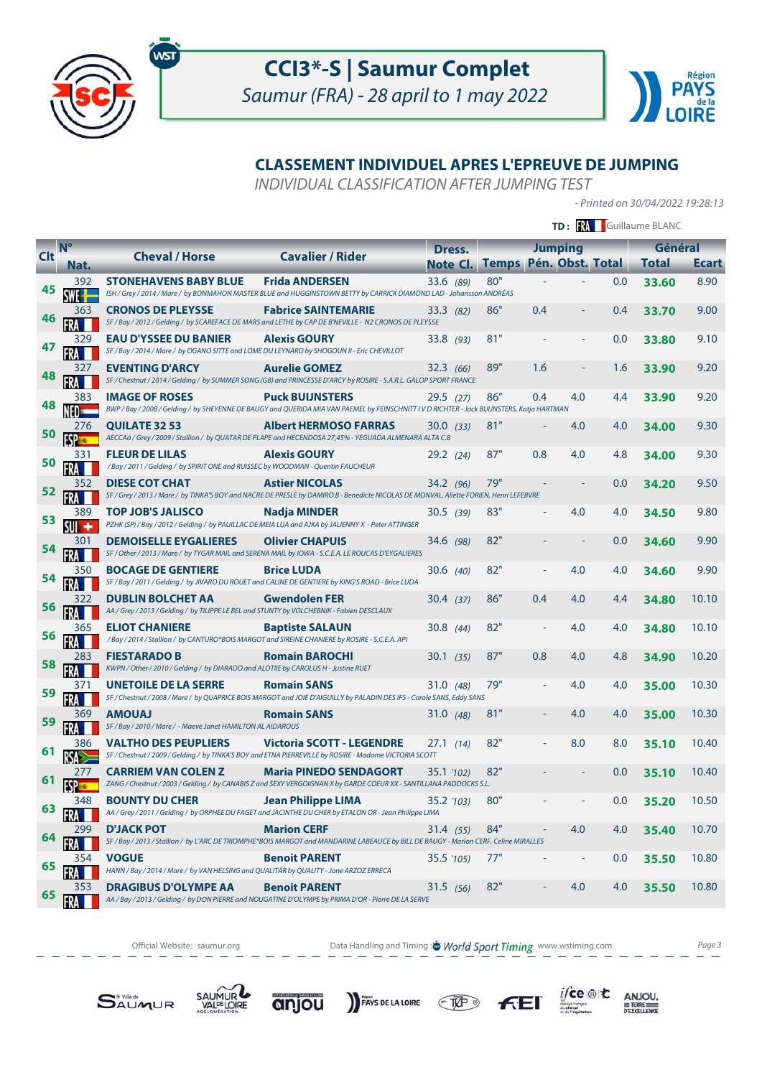



# **CLASSEMENT INDIVIDUEL APRES L'EPREUVE DE JUMPING**

INDIVIDUAL CLASSIFICATION AFTER JUMPING TEST

- Printed on 30/04/2022 19:28:13

|            |              |                                                                                                                            |                                                                                                                                                                     |                |                        |     |                |     | TD: M Guillaume BLANC |              |
|------------|--------------|----------------------------------------------------------------------------------------------------------------------------|---------------------------------------------------------------------------------------------------------------------------------------------------------------------|----------------|------------------------|-----|----------------|-----|-----------------------|--------------|
| <b>Clt</b> | $N^{\circ}$  | <b>Cheval / Horse</b>                                                                                                      | <b>Cavalier / Rider</b>                                                                                                                                             | Dress.         |                        |     | <b>Jumping</b> |     | Général               |              |
|            | Nat.         |                                                                                                                            |                                                                                                                                                                     | Note Cl.       | Temps Pén. Obst. Total |     |                |     | <b>Total</b>          | <b>Ecart</b> |
| 45         | 392          | <b>STONEHAVENS BABY BLUE</b>                                                                                               | <b>Frida ANDERSEN</b><br>ISH / Grey / 2014 / Mare / by BONMAHON MASTER BLUE and HUGGINSTOWN BETTY by CARRICK DIAMOND LAD - Johansson ANDRÉAS                        | 33.6 (89)      | 80"                    |     |                | 0.0 | 33.60                 | 8.90         |
| 46         | 363          | <b>CRONOS DE PLEYSSE</b>                                                                                                   | <b>Fabrice SAINTEMARIE</b><br>SF / Bay / 2012 / Gelding / by SCAREFACE DE MARS and LETHE by CAP DE B'NEVILLE - N2 CRONOS DE PLEYSSE                                 | 33.3(82)       | 86"                    | 0.4 |                | 0.4 | 33.70                 | 9.00         |
| 47         | 329          | <b>EAU D'YSSEE DU BANIER</b><br>SF / Bay / 2014 / Mare / by OGANO SITTE and LOME DU LEYNARD by SHOGOUN II - Eric CHEVILLOT | <b>Alexis GOURY</b>                                                                                                                                                 | 33.8(93)       | 81"                    |     |                | 0.0 | 33.80                 | 9.10         |
| 48         | 327          | <b>EVENTING D'ARCY</b>                                                                                                     | <b>Aurelie GOMEZ</b><br>SF / Chestnut / 2014 / Gelding / by SUMMER SONG (GB) and PRINCESSE D'ARCY by ROSIRE - S.A.R.L. GALOP SPORT FRANCE                           | 32.3(66)       | 89"                    | 1.6 |                | 1.6 | 33.90                 | 9.20         |
| 48         | 383          | <b>IMAGE OF ROSES</b>                                                                                                      | <b>Puck BUIJNSTERS</b><br>BWP / Bay / 2008 / Gelding / by SHEYENNE DE BAUGY and QUERIDA MIA VAN PAEMEL by FEINSCHNITT IV D RICHTER - Jack BUIJNSTERS, Katja HARTMAN | $29.5$ (27)    | 86"                    | 0.4 | 4.0            | 4.4 | 33.90                 | 9.20         |
| 50         | 276          | <b>OUILATE 32 53</b>                                                                                                       | <b>Albert HERMOSO FARRAS</b><br>AECCAá / Grey / 2009 / Stallion / by QUATAR DE PLAPE and HECENDOSA 27,45% - YEGUADA ALMENARA ALTA C.B                               | 30.0(33)       | 81"                    |     | 4.0            | 4.0 | 34.00                 | 9.30         |
| 50         | 331          | <b>FLEUR DE LILAS</b><br>/ Bay / 2011 / Gelding / by SPIRIT ONE and RUISSEC by WOODMAN - Quentin FAUCHEUR                  | <b>Alexis GOURY</b>                                                                                                                                                 | $29.2$ (24)    | 87"                    | 0.8 | 4.0            | 4.8 | 34.00                 | 9.30         |
| 52         | 352          | <b>DIESE COT CHAT</b>                                                                                                      | <b>Astier NICOLAS</b><br>SF / Grey / 2013 / Mare / by TINKA'S BOY and NACRE DE PRESLE by DAMIRO B - Benedicte NICOLAS DE MONVAL, Aliette FORIEN, Henri LEFEBVRE     | 34.2(96)       | 79"                    |     |                | 0.0 | 34.20                 | 9.50         |
| 53         | 389          | <b>TOP JOB'S JALISCO</b>                                                                                                   | <b>Nadia MINDER</b><br>PZHK (SP) / Bay / 2012 / Gelding / by PAUILLAC DE MEIA LUA and AJKA by JALIENNY X - Peter ATTINGER                                           | 30.5(39)       | 83"                    |     | 4.0            | 4.0 | 34.50                 | 9.80         |
| 54         | 301          | <b>DEMOISELLE EYGALIERES</b>                                                                                               | <b>Olivier CHAPUIS</b><br>SF / Other / 2013 / Mare / by TYGAR MAIL and SERENA MAIL by IOWA - S.C.E.A. LE ROUCAS D'EYGALIERES                                        | 34.6 (98)      | 82"                    |     |                | 0.0 | 34.60                 | 9.90         |
| 54         | 350          | <b>BOCAGE DE GENTIERE</b>                                                                                                  | <b>Brice LUDA</b><br>SF / Bay / 2011 / Gelding / by JIVARO DU ROUET and CALINE DE GENTIERE by KING'S ROAD - Brice LUDA                                              | $30.6$ (40)    | 82"                    |     | 4.0            | 4.0 | 34.60                 | 9.90         |
| 56         | 322          | <b>DUBLIN BOLCHET AA</b><br>AA / Grey / 2013 / Gelding / by TILIPPE LE BEL and STUNTY by VOLCHEBNIK - Fabien DESCLAUX      | <b>Gwendolen FER</b>                                                                                                                                                | 30.4(37)       | 86"                    | 0.4 | 4.0            | 4.4 | 34.80                 | 10.10        |
| 56         |              | <b>ELIOT CHANIERE</b><br>/Bay / 2014 / Stallion / by CANTURO*BOIS MARGOT and SIREINE CHANIERE by ROSIRE - S.C.E.A. API     | <b>Baptiste SALAUN</b>                                                                                                                                              | 30.8 $(44)$    | 82"                    |     | 4.0            | 4.0 | 34.80                 | 10.10        |
| 58         | 283          | <b>FIESTARADO B</b><br>KWPN / Other / 2010 / Gelding / by DIARADO and ALOTIIE by CAROLUS H - Justine RUET                  | <b>Romain BAROCHI</b>                                                                                                                                               | 30.1 (35)      | 87"                    | 0.8 | 4.0            | 4.8 | 34.90                 | 10.20        |
| 59         | 371          | <b>UNETOILE DE LA SERRE</b>                                                                                                | <b>Romain SANS</b><br>SF / Chestnut / 2008 / Mare / by QUAPRICE BOIS MARGOT and JOIE D'AIGUILLY by PALADIN DES IFS - Carole SANS, Eddy SANS                         | 31.0 $(48)$    | 79"                    |     | 4.0            | 4.0 | 35.00                 | 10.30        |
| 59         | 369          | <b>LAUOMA</b><br>SF / Bay / 2010 / Mare / - Maeve Janet HAMILTON AL AIDAROUS                                               | <b>Romain SANS</b>                                                                                                                                                  | 31.0 $(48)$    | 81"                    |     | 4.0            | 4.0 | 35.00                 | 10.30        |
|            | 386          | <b>VALTHO DES PEUPLIERS</b>                                                                                                | <b>Victoria SCOTT - LEGENDRE</b><br>SF / Chestnut / 2009 / Gelding / by TINKA'S BOY and ETNA PIERREVILLE by ROSIRE - Madame VICTORIA SCOTT                          | 27.1(14)       | 82"                    |     | 8.0            | 8.0 | 35.10                 | 10.40        |
|            | 277<br>FSP 3 | <b>CARRIEM VAN COLEN Z</b>                                                                                                 | <b>Maria PINEDO SENDAGORT</b><br>ZANG / Chestnut / 2003 / Gelding / by CANABIS Z and SEXY VERGOIGNAN X by GARDE COEUR XX - SANTILLANA PADDOCKS S.L.                 | $35.1 \t(102)$ | 82"                    |     |                | 0.0 | 35.10                 | 10.40        |
| 63         | 348          | <b>BOUNTY DU CHER</b>                                                                                                      | <b>Jean Philippe LIMA</b><br>AA / Grey / 2011 / Gelding / by ORPHEE DU FAGET and JACINTHE DU CHER by ETALON OR - Jean Philippe LIMA                                 | 35.2 (103)     | 80"                    |     |                | 0.0 | 35.20                 | 10.50        |
| 64         | 299          | <b>D'JACK POT</b>                                                                                                          | <b>Marion CERF</b><br>SF / Bay / 2013 / Stallion / by L'ARC DE TRIOMPHE*BOIS MARGOT and MANDARINE LABEAUCE by BILL DE BAUGY - Marion CERF, Celine MIRALLES          | 31.4(55)       | 84"                    |     | 4.0            | 4.0 | 35.40                 | 10.70        |
| 65         | 354          | <b>VOGUE</b><br>HANN / Bay / 2014 / Mare / by VAN HELSING and QUALITÄR by QUALITY - Jone ARZOZ ERRECA                      | <b>Benoit PARENT</b>                                                                                                                                                | 35.5 (105)     | 77"                    |     |                | 0.0 | 35.50                 | 10.80        |
| 65         | 353          | <b>DRAGIBUS D'OLYMPE AA</b>                                                                                                | <b>Benoit PARENT</b><br>AA / Bay / 2013 / Gelding / by DON PIERRE and NOUGATINE D'OLYMPE by PRIMA D'OR - Pierre DE LA SERVE                                         | 31.5(56)       | 82"                    |     | 4.0            | 4.0 | 35.50                 | 10.80        |

Official Website: saumur.org **Data Handling and Timing : World Sport Timing** www.wstiming.com Page 3 

PAYS DE LA LOIRE TAP

 $\underset{\underbrace{\text{G.}\underbrace{\text{G.}\underbrace{\text{G.}\underbrace{\text{G.}\underbrace{\text{G.}\underbrace{\text{G.}\underbrace{\text{G.}\underbrace{\text{G.}\underbrace{\text{G.}\underbrace{\text{G.}\underbrace{\text{G.}\underbrace{\text{G.}\underbrace{\text{G.}\underbrace{\text{G.}\underbrace{\text{G.}\underbrace{\text{G.}\underbrace{\text{G.}\underbrace{\text{G.}\underbrace{\text{G.}\underbrace{\text{G.}\underbrace{\text{G.}\underbrace{\text{G.}\underbrace{\text{G.}\underbrace{\text{G.}\underbrace{\text{G.}\underbrace{\text{G.}\underbrace{\text{G.}\$ 

 $F<sub>E</sub>$ 



SAUMUR

anjou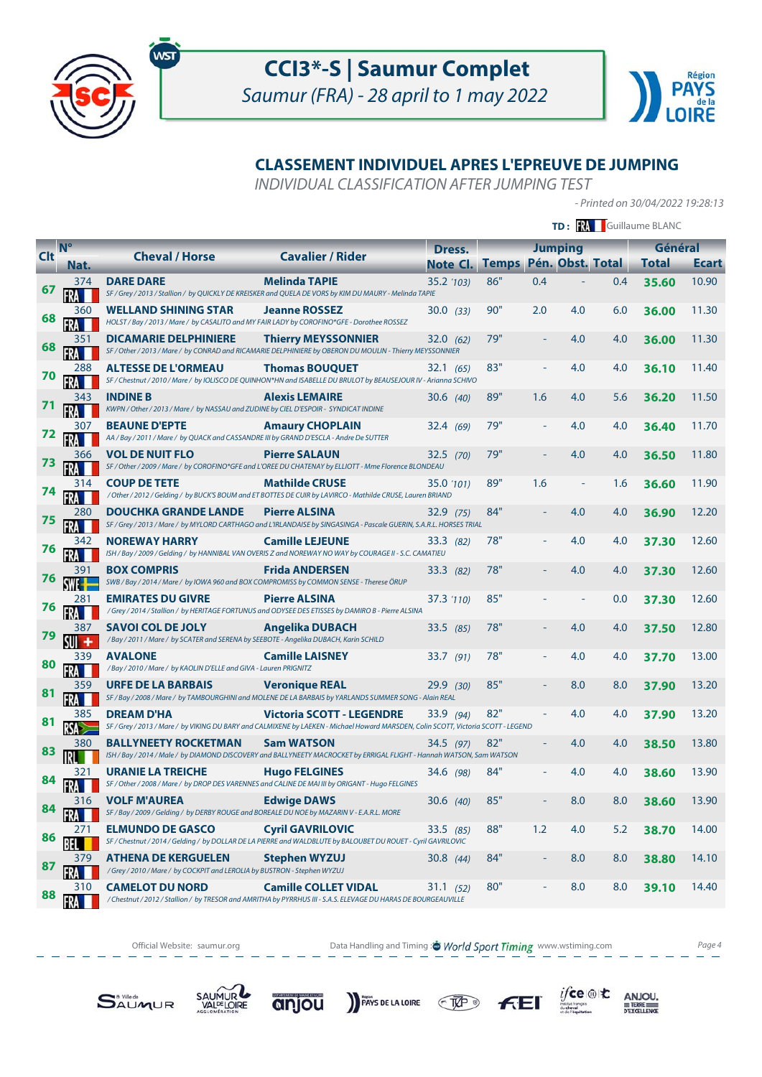



# **CLASSEMENT INDIVIDUEL APRES L'EPREUVE DE JUMPING**

INDIVIDUAL CLASSIFICATION AFTER JUMPING TEST

- Printed on 30/04/2022 19:28:13

 $\underset{\underbrace{\text{G.}\underbrace{\text{G.}\underbrace{\text{G.}\underbrace{\text{G.}\underbrace{\text{G.}\underbrace{\text{G.}\underbrace{\text{G.}\underbrace{\text{G.}\underbrace{\text{G.}\underbrace{\text{G.}\underbrace{\text{G.}\underbrace{\text{G.}\underbrace{\text{G.}\underbrace{\text{G.}\underbrace{\text{G.}\underbrace{\text{G.}\underbrace{\text{G.}\underbrace{\text{G.}\underbrace{\text{G.}\underbrace{\text{G.}\underbrace{\text{G.}\underbrace{\text{G.}\underbrace{\text{G.}\underbrace{\text{G.}\underbrace{\text{G.}\underbrace{\text{G.}\underbrace{\text{G.}\$ 

 $F<sub>E</sub>$ 

|               |             |                                                                                                                   |                                                                                                                                                                        |             |                       |     |                  |     | TD: RA Guillaume BLANC |              |
|---------------|-------------|-------------------------------------------------------------------------------------------------------------------|------------------------------------------------------------------------------------------------------------------------------------------------------------------------|-------------|-----------------------|-----|------------------|-----|------------------------|--------------|
|               | $N^{\circ}$ | <b>Cheval / Horse</b>                                                                                             | <b>Cavalier / Rider</b>                                                                                                                                                | Dress.      |                       |     | <b>Jumping</b>   |     | Général                |              |
| <b>Clt</b>    | Nat.        |                                                                                                                   |                                                                                                                                                                        |             | <b>Note Cl. Temps</b> |     | Pén. Obst. Total |     | <b>Total</b>           | <b>Ecart</b> |
| 67            | 374         | <b>DARE DARE</b>                                                                                                  | <b>Melinda TAPIE</b><br>SF / Grey / 2013 / Stallion / by QUICKLY DE KREISKER and QUELA DE VORS by KIM DU MAURY - Melinda TAPIE                                         | 35.2 (103)  | 86"                   | 0.4 |                  | 0.4 | 35.60                  | 10.90        |
| 68            | 360         | <b>WELLAND SHINING STAR</b>                                                                                       | <b>Jeanne ROSSEZ</b><br>HOLST / Bay / 2013 / Mare / by CASALITO and MY FAIR LADY by COROFINO*GFE - Dorothee ROSSEZ                                                     | 30.0(33)    | 90"                   | 2.0 | 4.0              | 6.0 | 36.00                  | 11.30        |
| 68            | 351         | <b>DICAMARIE DELPHINIERE</b>                                                                                      | <b>Thierry MEYSSONNIER</b><br>SF / Other / 2013 / Mare / by CONRAD and RICAMARIE DELPHINIERE by OBERON DU MOULIN - Thierry MEYSSONNIER                                 | 32.0(62)    | 79"                   |     | 4.0              | 4.0 | 36.00                  | 11.30        |
| 70            | 288         | <b>ALTESSE DE L'ORMEAU</b>                                                                                        | <b>Thomas BOUQUET</b><br>SF / Chestnut / 2010 / Mare / by IOLISCO DE QUINHON*HN and ISABELLE DU BRULOT by BEAUSEJOUR IV - Arianna SCHIVO                               | 32.1(65)    | 83"                   |     | 4.0              | 4.0 | 36.10                  | 11.40        |
| $\mathcal{L}$ | 343         | <b>INDINE B</b><br>KWPN / Other / 2013 / Mare / by NASSAU and ZUDINE by CIEL D'ESPOIR - SYNDICAT INDINE           | <b>Alexis LEMAIRE</b>                                                                                                                                                  | 30.6 (40)   | 89"                   | 1.6 | 4.0              | 5.6 | 36.20                  | 11.50        |
| 72            | 307         | <b>BEAUNE D'EPTE</b><br>AA / Bay / 2011 / Mare / by QUACK and CASSANDRE III by GRAND D'ESCLA - Andre De SUTTER    | <b>Amaury CHOPLAIN</b>                                                                                                                                                 | 32.4 (69)   | 79"                   |     | 4.0              | 4.0 | 36.40                  | 11.70        |
| 73            | 366         | <b>VOL DE NUIT FLO</b>                                                                                            | <b>Pierre SALAUN</b><br>SF / Other / 2009 / Mare / by COROFINO*GFE and L'OREE DU CHATENAY by ELLIOTT - Mme Florence BLONDEAU                                           | $32.5$ (70) | 79"                   |     | 4.0              | 4.0 | 36.50                  | 11.80        |
| 74            | 314         | <b>COUP DE TETE</b>                                                                                               | <b>Mathilde CRUSE</b><br>/ Other / 2012 / Gelding / by BUCK'S BOUM and ET BOTTES DE CUIR by LAVIRCO - Mathilde CRUSE, Lauren BRIAND                                    | 35.0 '101)  | 89"                   | 1.6 |                  | 1.6 | 36.60                  | 11.90        |
| 75            | 280         | <b>DOUCHKA GRANDE LANDE</b>                                                                                       | <b>Pierre ALSINA</b><br>SF / Grey / 2013 / Mare / by MYLORD CARTHAGO and L'IRLANDAISE by SINGASINGA - Pascale GUERIN, S.A.R.L. HORSES TRIAL                            | 32.9(75)    | 84"                   |     | 4.0              | 4.0 | 36.90                  | 12.20        |
| 76            | 342         | <b>NOREWAY HARRY</b>                                                                                              | <b>Camille LEJEUNE</b><br>ISH / Bay / 2009 / Gelding / by HANNIBAL VAN OVERIS Z and NOREWAY NO WAY by COURAGE II - S.C. CAMATIEU                                       | 33.3(82)    | 78"                   |     | 4.0              | 4.0 | 37.30                  | 12.60        |
| 76            | 391         | <b>BOX COMPRIS</b>                                                                                                | <b>Frida ANDERSEN</b><br>SWB / Bay / 2014 / Mare / by IOWA 960 and BOX COMPROMISS by COMMON SENSE - Therese ÖRUP                                                       | 33.3 (82)   | 78"                   |     | 4.0              | 4.0 | 37.30                  | 12.60        |
| 76            | 281         | <b>EMIRATES DU GIVRE</b>                                                                                          | <b>Pierre ALSINA</b><br>/ Grey / 2014 / Stallion / by HERITAGE FORTUNUS and ODYSEE DES ETISSES by DAMIRO B - Pierre ALSINA                                             | 37.3 '110)  | 85"                   |     |                  | 0.0 | 37.30                  | 12.60        |
| 79            | 387         | <b>SAVOI COL DE JOLY</b><br>/Bay / 2011 / Mare / by SCATER and SERENA by SEEBOTE - Angelika DUBACH, Karin SCHILD  | <b>Angelika DUBACH</b>                                                                                                                                                 | 33.5(85)    | 78"                   |     | 4.0              | 4.0 | 37.50                  | 12.80        |
| 80            | 339         | <b>AVALONE</b><br>/ Bay / 2010 / Mare / by KAOLIN D'ELLE and GIVA - Lauren PRIGNITZ                               | <b>Camille LAISNEY</b>                                                                                                                                                 | 33.7 (91)   | 78"                   |     | 4.0              | 4.0 | 37.70                  | 13.00        |
| 81            | 359         | <b>URFE DE LA BARBAIS</b>                                                                                         | <b>Veronique REAL</b><br>SF / Bay / 2008 / Mare / by TAMBOURGHINI and MOLENE DE LA BARBAIS by YARLANDS SUMMER SONG - Alain REAL                                        | 29.9(30)    | 85"                   |     | 8.0              | 8.0 | 37.90                  | 13.20        |
| 81            | 385         | <b>DREAM D'HA</b>                                                                                                 | <b>Victoria SCOTT - LEGENDRE</b><br>SF / Grey / 2013 / Mare / by VIKING DU BARY and CALMIXENE by LAEKEN - Michael Howard MARSDEN, Colin SCOTT, Victoria SCOTT - LEGEND | 33.9 (94)   | 82"                   |     | 4.0              | 4.0 | 37.90                  | 13.20        |
| 83            | 380         | <b>BALLYNEETY ROCKETMAN</b>                                                                                       | <b>Sam WATSON</b><br>ISH / Bay / 2014 / Male / by DIAMOND DISCOVERY and BALLYNEETY MACROCKET by ERRIGAL FLIGHT - Hannah WATSON, Sam WATSON                             | 34.5 (97)   | 82"                   |     | 4.0              | 4.0 | 38.50                  | 13.80        |
| 84            | 321         | <b>URANIE LA TREICHE</b>                                                                                          | <b>Hugo FELGINES</b><br>SF / Other / 2008 / Mare / by DROP DES VARENNES and CALINE DE MAI III by ORIGANT - Hugo FELGINES                                               | 34.6 (98)   | 84"                   |     | 4.0              | 4.0 | 38.60                  | 13.90        |
| 84            | 316         | <b>VOLF M'AUREA</b><br>SF / Bay / 2009 / Gelding / by DERBY ROUGE and BOREALE DU NOE by MAZARIN V - E.A.R.L. MORE | <b>Edwige DAWS</b>                                                                                                                                                     | 30.6 (40)   | 85"                   |     | 8.0              | 8.0 | 38.60                  | 13.90        |
| 86            | 271         | <b>ELMUNDO DE GASCO</b>                                                                                           | <b>Cyril GAVRILOVIC</b><br>SF / Chestnut / 2014 / Gelding / by DOLLAR DE LA PIERRE and WALDBLUTE by BALOUBET DU ROUET - Cyril GAVRILOVIC                               | 33.5 (85)   | 88"                   | 1.2 | 4.0              | 5.2 | 38.70                  | 14.00        |
| 87            | 379         | <b>ATHENA DE KERGUELEN</b><br>/ Grey / 2010 / Mare / by COCKPIT and LEROLIA by BUSTRON - Stephen WYZUJ            | <b>Stephen WYZUJ</b>                                                                                                                                                   | 30.8 $(44)$ | 84"                   |     | 8.0              | 8.0 | 38.80                  | 14.10        |
| 88            | 310<br>FRA  | <b>CAMELOT DU NORD</b>                                                                                            | <b>Camille COLLET VIDAL</b><br>/ Chestnut / 2012 / Stallion / by TRESOR and AMRITHA by PYRRHUS III - S.A.S. ELEVAGE DU HARAS DE BOURGEAUVILLE                          | 31.1 (52)   | 80"                   |     | 8.0              | 8.0 | 39.10                  | 14.40        |



PAYS DE LA LOIRE TAP



SAUMUR

anjou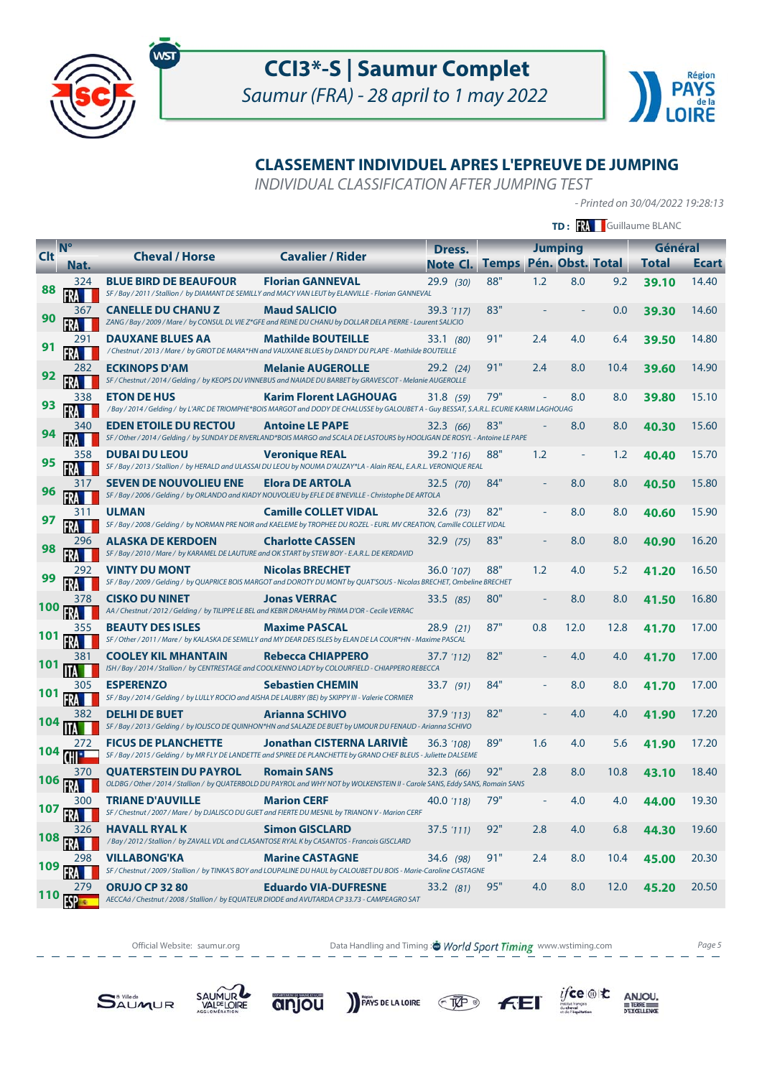



# **CLASSEMENT INDIVIDUEL APRES L'EPREUVE DE JUMPING**

INDIVIDUAL CLASSIFICATION AFTER JUMPING TEST

- Printed on 30/04/2022 19:28:13

 $\underset{\underbrace{\text{G.}\underbrace{\text{G.}\underbrace{\text{G.}\underbrace{\text{G.}\underbrace{\text{G.}\underbrace{\text{G.}\underbrace{\text{G.}\underbrace{\text{G.}\underbrace{\text{G.}\underbrace{\text{G.}\underbrace{\text{G.}\underbrace{\text{G.}\underbrace{\text{G.}\underbrace{\text{G.}\underbrace{\text{G.}\underbrace{\text{G.}\underbrace{\text{G.}\underbrace{\text{G.}\underbrace{\text{G.}\underbrace{\text{G.}\underbrace{\text{G.}\underbrace{\text{G.}\underbrace{\text{G.}\underbrace{\text{G.}\underbrace{\text{G.}\underbrace{\text{G.}\underbrace{\text{G.}\$ 

 $F<sub>E</sub>$ 

|            |                                         |                               |                                                                                                                                                                            |                       |     |     |                  |      | TD: M Guillaume BLANC |       |
|------------|-----------------------------------------|-------------------------------|----------------------------------------------------------------------------------------------------------------------------------------------------------------------------|-----------------------|-----|-----|------------------|------|-----------------------|-------|
| <b>Clt</b> | $N^{\circ}$                             | <b>Cheval / Horse</b>         | <b>Cavalier / Rider</b>                                                                                                                                                    | Dress.                |     |     | <b>Jumping</b>   |      | Général               |       |
|            | Nat.                                    |                               |                                                                                                                                                                            | <b>Note Cl. Temps</b> |     |     | Pén. Obst. Total |      | <b>Total</b>          | Ecart |
| 88         | 324                                     | <b>BLUE BIRD DE BEAUFOUR</b>  | <b>Florian GANNEVAL</b><br>SF / Bay / 2011 / Stallion / by DIAMANT DE SEMILLY and MACY VAN LEUT by ELANVILLE - Florian GANNEVAL                                            | 29.9(30)              | 88" | 1.2 | 8.0              | 9.2  | 39.10                 | 14.40 |
| 90         | 367                                     | <b>CANELLE DU CHANU Z</b>     | <b>Maud SALICIO</b><br>ZANG / Bay / 2009 / Mare / by CONSUL DL VIE Z*GFE and REINE DU CHANU by DOLLAR DELA PIERRE - Laurent SALICIO                                        | 39.3 (117)            | 83" |     |                  | 0.0  | 39.30                 | 14.60 |
| 91         |                                         | <b>DAUXANE BLUES AA</b>       | <b>Mathilde BOUTEILLE</b><br>/ Chestnut / 2013 / Mare / by GRIOT DE MARA*HN and VAUXANE BLUES by DANDY DU PLAPE - Mathilde BOUTEILLE                                       | 33.1 (80)             | 91" | 2.4 | 4.0              | 6.4  | 39.50                 | 14.80 |
| 92         | 282                                     | <b>ECKINOPS D'AM</b>          | <b>Melanie AUGEROLLE</b><br>SF / Chestnut / 2014 / Gelding / by KEOPS DU VINNEBUS and NAIADE DU BARBET by GRAVESCOT - Melanie AUGEROLLE                                    | 29.2 (24)             | 91" | 2.4 | 8.0              | 10.4 | 39.60                 | 14.90 |
| 93         |                                         | <b>ETON DE HUS</b>            | <b>Karim Florent LAGHOUAG</b><br>/ Bay / 2014 / Gelding / by L'ARC DE TRIOMPHE*BOIS MARGOT and DODY DE CHALUSSE by GALOUBET A - Guy BESSAT, S.A.R.L. ECURIE KARIM LAGHOUAG | 31.8(59)              | 79" |     | 8.0              | 8.0  | 39.80                 | 15.10 |
| 94         | 340                                     | <b>EDEN ETOILE DU RECTOU</b>  | <b>Antoine LE PAPE</b><br>SF / Other / 2014 / Gelding / by SUNDAY DE RIVERLAND*BOIS MARGO and SCALA DE LASTOURS by HOOLIGAN DE ROSYL - Antoine LE PAPE                     | 32.3(66)              | 83" |     | 8.0              | 8.0  | 40.30                 | 15.60 |
| 95         | 358                                     | <b>DUBAI DU LEOU</b>          | <b>Veronique REAL</b><br>SF / Bay / 2013 / Stallion / by HERALD and ULASSAI DU LEOU by NOUMA D'AUZAY*LA - Alain REAL, E.A.R.L. VERONIQUE REAL                              | 39.2 (116)            | 88" | 1.2 |                  | 1.2  | 40.40                 | 15.70 |
| 96         | 317                                     | <b>SEVEN DE NOUVOLIEU ENE</b> | <b>Elora DE ARTOLA</b><br>SF / Bay / 2006 / Gelding / by ORLANDO and KIADY NOUVOLIEU by EFLE DE B'NEVILLE - Christophe DE ARTOLA                                           | $32.5$ (70)           | 84" |     | 8.0              | 8.0  | 40.50                 | 15.80 |
| 97         |                                         | <b>ULMAN</b>                  | <b>Camille COLLET VIDAL</b><br>SF / Bay / 2008 / Gelding / by NORMAN PRE NOIR and KAELEME by TROPHEE DU ROZEL - EURL MV CREATION, Camille COLLET VIDAL                     | $32.6$ (73)           | 82" |     | 8.0              | 8.0  | 40.60                 | 15.90 |
| 98         | 296                                     | ALASKA DE KERDOEN             | <b>Charlotte CASSEN</b><br>SF / Bay / 2010 / Mare / by KARAMEL DE LAUTURE and OK START by STEW BOY - E.A.R.L. DE KERDAVID                                                  | 32.9(75)              | 83" |     | 8.0              | 8.0  | 40.90                 | 16.20 |
| 99         |                                         | <b>VINTY DU MONT</b>          | <b>Nicolas BRECHET</b><br>SF / Bay / 2009 / Gelding / by QUAPRICE BOIS MARGOT and DOROTY DU MONT by QUAT'SOUS - Nicolas BRECHET, Ombeline BRECHET                          | 36.0 '107)            | 88" | 1.2 | 4.0              | 5.2  | 41.20                 | 16.50 |
| <b>100</b> | 378                                     | <b>CISKO DU NINET</b>         | <b>Jonas VERRAC</b><br>AA / Chestnut / 2012 / Gelding / by TILIPPE LE BEL and KEBIR DRAHAM by PRIMA D'OR - Cecile VERRAC                                                   | 33.5 (85)             | 80" |     | 8.0              | 8.0  | 41.50                 | 16.80 |
| 101        |                                         | <b>BEAUTY DES ISLES</b>       | <b>Maxime PASCAL</b><br>SF / Other / 2011 / Mare / by KALASKA DE SEMILLY and MY DEAR DES ISLES by ELAN DE LA COUR*HN - Maxime PASCAL                                       | 28.9(21)              | 87" | 0.8 | 12.0             | 12.8 | 41.70                 | 17.00 |
| 101        | 381                                     | <b>COOLEY KIL MHANTAIN</b>    | <b>Rebecca CHIAPPERO</b><br>ISH / Bay / 2014 / Stallion / by CENTRESTAGE and COOLKENNO LADY by COLOURFIELD - CHIAPPERO REBECCA                                             | 37.7 '112)            | 82" |     | 4.0              | 4.0  | 41.70                 | 17.00 |
| 101        | 305                                     | <b>ESPERENZO</b>              | <b>Sebastien CHEMIN</b><br>SF / Bay / 2014 / Gelding / by LULLY ROCIO and AISHA DE LAUBRY (BE) by SKIPPY III - Valerie CORMIER                                             | 33.7(91)              | 84" |     | 8.0              | 8.0  | 41.70                 | 17.00 |
| 104        | 382                                     | <b>DELHI DE BUET</b>          | <b>Arianna SCHIVO</b><br>SF / Bay / 2013 / Gelding / by IOLISCO DE QUINHON*HN and SALAZIE DE BUET by UMOUR DU FENAUD - Arianna SCHIVO                                      | 37.9 (113)            | 82" |     | 4.0              | 4.0  | 41.90                 | 17.20 |
| 104        | 272                                     | <b>FICUS DE PLANCHETTE</b>    | <b>Jonathan CISTERNA LARIVIÈ</b><br>SF / Bay / 2015 / Gelding / by MR FLY DE LANDETTE and SPIREE DE PLANCHETTE by GRAND CHEF BLEUS - Juliette DALSEME                      | 36.3 (108)            | 89" | 1.6 | 4.0              | 5.6  | 41.90                 | 17.20 |
| 106 丽      | 370                                     | QUATERSTEIN DU PAYROL         | <b>Romain SANS</b><br>OLDBG / Other / 2014 / Stallion / by QUATERBOLD DU PAYROL and WHY NOT by WOLKENSTEIN II - Carole SANS, Eddy SANS, Romain SANS                        | 32.3(66)              | 92" | 2.8 | 8.0              | 10.8 | 43.10                 | 18.40 |
| 107        | 300                                     | <b>TRIANE D'AUVILLE</b>       | <b>Marion CERF</b><br>SF / Chestnut / 2007 / Mare / by DJALISCO DU GUET and FIERTE DU MESNIL by TRIANON V - Marion CERF                                                    | 40.0 '118)            | 79" |     | 4.0              | 4.0  | 44.00                 | 19.30 |
| 108        | 326                                     | <b>HAVALL RYAL K</b>          | <b>Simon GISCLARD</b><br>/Bay/2012/Stallion/ by ZAVALL VDL and CLASANTOSE RYAL K by CASANTOS - Francois GISCLARD                                                           | 37.5 (111)            | 92" | 2.8 | 4.0              | 6.8  | 44.30                 | 19.60 |
| 109        | 298                                     | <b>VILLABONG'KA</b>           | <b>Marine CASTAGNE</b><br>SF / Chestnut / 2009 / Stallion / by TINKA'S BOY and LOUPALINE DU HAUL by CALOUBET DU BOIS - Marie-Caroline CASTAGNE                             | 34.6 (98)             | 91" | 2.4 | 8.0              | 10.4 | 45.00                 | 20.30 |
|            | 279<br>$110$ $\left[\frac{6}{3}\right]$ | <b>ORUJO CP 32 80</b>         | <b>Eduardo VIA-DUFRESNE</b><br>AECCAá / Chestnut / 2008 / Stallion / by EQUATEUR DIODE and AVUTARDA CP 33.73 - CAMPEAGRO SAT                                               | 33.2 (81)             | 95" | 4.0 | 8.0              | 12.0 | 45.20                 | 20.50 |



PAYS DE LA LOIRE TAP

SAUMUR

anjou

**SAUMUR**